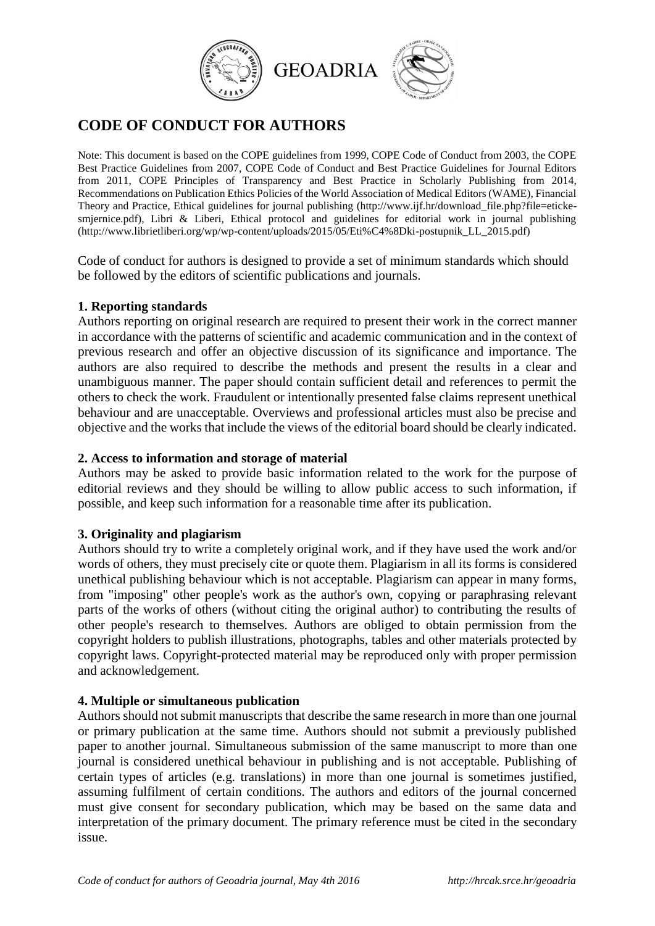

# **CODE OF CONDUCT FOR AUTHORS**

Note: This document is based on the COPE guidelines from 1999, COPE Code of Conduct from 2003, the COPE Best Practice Guidelines from 2007, COPE Code of Conduct and Best Practice Guidelines for Journal Editors from 2011, COPE Principles of Transparency and Best Practice in Scholarly Publishing from 2014, Recommendations on Publication Ethics Policies of the World Association of Medical Editors (WAME), Financial Theory and Practice, Ethical guidelines for journal publishing (http://www.ijf.hr/download\_file.php?file=etickesmjernice.pdf), Libri & Liberi, Ethical protocol and guidelines for editorial work in journal publishing (http://www.librietliberi.org/wp/wp-content/uploads/2015/05/Eti%C4%8Dki-postupnik\_LL\_2015.pdf)

Code of conduct for authors is designed to provide a set of minimum standards which should be followed by the editors of scientific publications and journals.

## **1. Reporting standards**

Authors reporting on original research are required to present their work in the correct manner in accordance with the patterns of scientific and academic communication and in the context of previous research and offer an objective discussion of its significance and importance. The authors are also required to describe the methods and present the results in a clear and unambiguous manner. The paper should contain sufficient detail and references to permit the others to check the work. Fraudulent or intentionally presented false claims represent unethical behaviour and are unacceptable. Overviews and professional articles must also be precise and objective and the works that include the views of the editorial board should be clearly indicated.

# **2. Access to information and storage of material**

Authors may be asked to provide basic information related to the work for the purpose of editorial reviews and they should be willing to allow public access to such information, if possible, and keep such information for a reasonable time after its publication.

## **3. Originality and plagiarism**

Authors should try to write a completely original work, and if they have used the work and/or words of others, they must precisely cite or quote them. Plagiarism in all its forms is considered unethical publishing behaviour which is not acceptable. Plagiarism can appear in many forms, from "imposing" other people's work as the author's own, copying or paraphrasing relevant parts of the works of others (without citing the original author) to contributing the results of other people's research to themselves. Authors are obliged to obtain permission from the copyright holders to publish illustrations, photographs, tables and other materials protected by copyright laws. Copyright-protected material may be reproduced only with proper permission and acknowledgement.

## **4. Multiple or simultaneous publication**

Authors should not submit manuscripts that describe the same research in more than one journal or primary publication at the same time. Authors should not submit a previously published paper to another journal. Simultaneous submission of the same manuscript to more than one journal is considered unethical behaviour in publishing and is not acceptable. Publishing of certain types of articles (e.g. translations) in more than one journal is sometimes justified, assuming fulfilment of certain conditions. The authors and editors of the journal concerned must give consent for secondary publication, which may be based on the same data and interpretation of the primary document. The primary reference must be cited in the secondary issue.